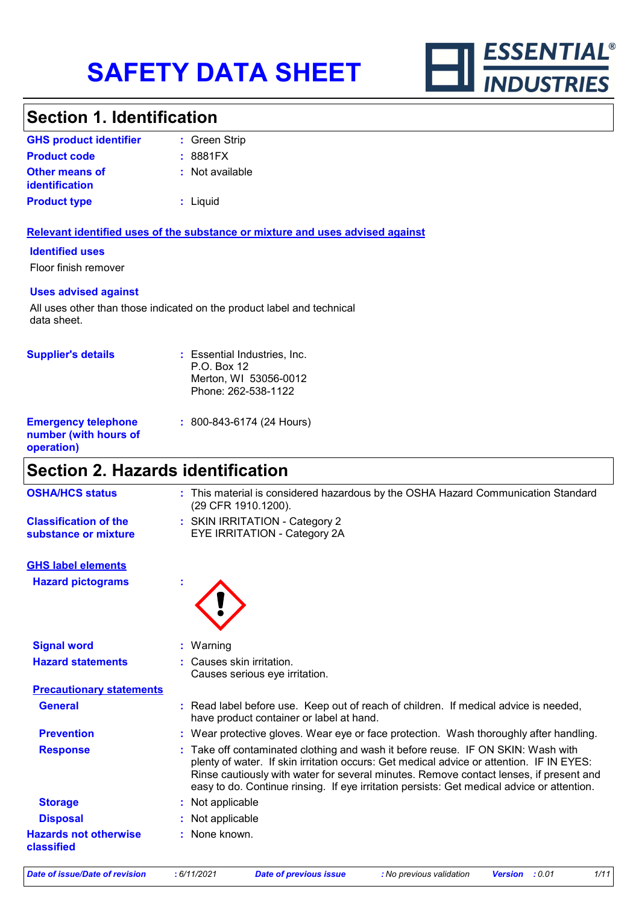

### **Section 1. Identification**

| <b>GHS product identifier</b>                  | : Green Strip   |
|------------------------------------------------|-----------------|
| <b>Product code</b>                            | : 8881FX        |
| <b>Other means of</b><br><i>identification</i> | : Not available |
| <b>Product type</b>                            | : Liquid        |

#### **Relevant identified uses of the substance or mixture and uses advised against**

#### **Identified uses**

Floor finish remover

#### **Uses advised against**

All uses other than those indicated on the product label and technical data sheet.

| <b>Supplier's details</b>                                         | : Essential Industries, Inc.<br>$P.O.$ Box 12<br>Merton, WI 53056-0012<br>Phone: 262-538-1122 |
|-------------------------------------------------------------------|-----------------------------------------------------------------------------------------------|
| <b>Emergency telephone</b><br>number (with hours of<br>operation) | : 800-843-6174 (24 Hours)                                                                     |

# **Section 2. Hazards identification**

| OGCUVII 4. HAZAIUS IUGHUIICAUVII                     |                                                                                                                                                                                                                                                                                                                                                                      |
|------------------------------------------------------|----------------------------------------------------------------------------------------------------------------------------------------------------------------------------------------------------------------------------------------------------------------------------------------------------------------------------------------------------------------------|
| <b>OSHA/HCS status</b>                               | : This material is considered hazardous by the OSHA Hazard Communication Standard<br>(29 CFR 1910.1200).                                                                                                                                                                                                                                                             |
| <b>Classification of the</b><br>substance or mixture | : SKIN IRRITATION - Category 2<br>EYE IRRITATION - Category 2A                                                                                                                                                                                                                                                                                                       |
| <b>GHS label elements</b>                            |                                                                                                                                                                                                                                                                                                                                                                      |
| <b>Hazard pictograms</b>                             |                                                                                                                                                                                                                                                                                                                                                                      |
| <b>Signal word</b>                                   | : Warning                                                                                                                                                                                                                                                                                                                                                            |
| <b>Hazard statements</b>                             | : Causes skin irritation.<br>Causes serious eye irritation.                                                                                                                                                                                                                                                                                                          |
| <b>Precautionary statements</b>                      |                                                                                                                                                                                                                                                                                                                                                                      |
| <b>General</b>                                       | : Read label before use. Keep out of reach of children. If medical advice is needed,<br>have product container or label at hand.                                                                                                                                                                                                                                     |
| <b>Prevention</b>                                    | : Wear protective gloves. Wear eye or face protection. Wash thoroughly after handling.                                                                                                                                                                                                                                                                               |
| <b>Response</b>                                      | : Take off contaminated clothing and wash it before reuse. IF ON SKIN: Wash with<br>plenty of water. If skin irritation occurs: Get medical advice or attention. IF IN EYES:<br>Rinse cautiously with water for several minutes. Remove contact lenses, if present and<br>easy to do. Continue rinsing. If eye irritation persists: Get medical advice or attention. |
| <b>Storage</b>                                       | : Not applicable                                                                                                                                                                                                                                                                                                                                                     |
| <b>Disposal</b>                                      | Not applicable                                                                                                                                                                                                                                                                                                                                                       |
| <b>Hazards not otherwise</b><br>classified           | : None known.                                                                                                                                                                                                                                                                                                                                                        |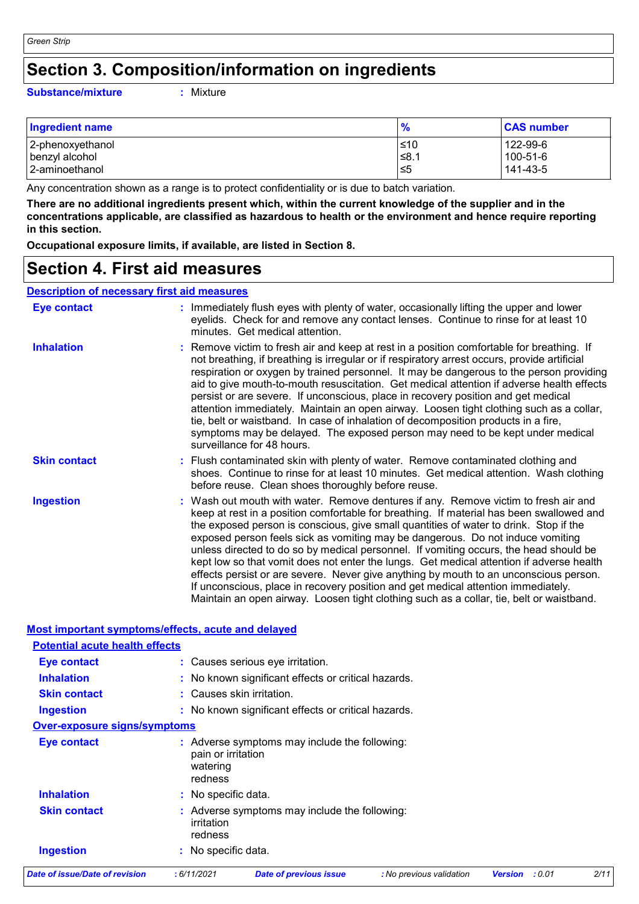# **Section 3. Composition/information on ingredients**

#### **Substance/mixture :**

: Mixture

| <b>Ingredient name</b> | $\frac{9}{6}$ | <b>CAS number</b> |
|------------------------|---------------|-------------------|
| 2-phenoxyethanol       | ≤10           | 122-99-6          |
| benzyl alcohol         | 1.8≥          | $100 - 51 - 6$    |
| 2-aminoethanol         | ו≥ו           | 141-43-5          |

Any concentration shown as a range is to protect confidentiality or is due to batch variation.

**There are no additional ingredients present which, within the current knowledge of the supplier and in the concentrations applicable, are classified as hazardous to health or the environment and hence require reporting in this section.**

**Occupational exposure limits, if available, are listed in Section 8.**

### **Section 4. First aid measures**

#### **Description of necessary first aid measures**

| <b>Eye contact</b>  | : Immediately flush eyes with plenty of water, occasionally lifting the upper and lower<br>eyelids. Check for and remove any contact lenses. Continue to rinse for at least 10<br>minutes. Get medical attention.                                                                                                                                                                                                                                                                                                                                                                                                                                                                                                                                                                                                         |
|---------------------|---------------------------------------------------------------------------------------------------------------------------------------------------------------------------------------------------------------------------------------------------------------------------------------------------------------------------------------------------------------------------------------------------------------------------------------------------------------------------------------------------------------------------------------------------------------------------------------------------------------------------------------------------------------------------------------------------------------------------------------------------------------------------------------------------------------------------|
| <b>Inhalation</b>   | : Remove victim to fresh air and keep at rest in a position comfortable for breathing. If<br>not breathing, if breathing is irregular or if respiratory arrest occurs, provide artificial<br>respiration or oxygen by trained personnel. It may be dangerous to the person providing<br>aid to give mouth-to-mouth resuscitation. Get medical attention if adverse health effects<br>persist or are severe. If unconscious, place in recovery position and get medical<br>attention immediately. Maintain an open airway. Loosen tight clothing such as a collar,<br>tie, belt or waistband. In case of inhalation of decomposition products in a fire,<br>symptoms may be delayed. The exposed person may need to be kept under medical<br>surveillance for 48 hours.                                                    |
| <b>Skin contact</b> | : Flush contaminated skin with plenty of water. Remove contaminated clothing and<br>shoes. Continue to rinse for at least 10 minutes. Get medical attention. Wash clothing<br>before reuse. Clean shoes thoroughly before reuse.                                                                                                                                                                                                                                                                                                                                                                                                                                                                                                                                                                                          |
| <b>Ingestion</b>    | : Wash out mouth with water. Remove dentures if any. Remove victim to fresh air and<br>keep at rest in a position comfortable for breathing. If material has been swallowed and<br>the exposed person is conscious, give small quantities of water to drink. Stop if the<br>exposed person feels sick as vomiting may be dangerous. Do not induce vomiting<br>unless directed to do so by medical personnel. If vomiting occurs, the head should be<br>kept low so that vomit does not enter the lungs. Get medical attention if adverse health<br>effects persist or are severe. Never give anything by mouth to an unconscious person.<br>If unconscious, place in recovery position and get medical attention immediately.<br>Maintain an open airway. Loosen tight clothing such as a collar, tie, belt or waistband. |

|                                       | <u>Most important symptoms/effects, acute and delayed</u>                                           |      |
|---------------------------------------|-----------------------------------------------------------------------------------------------------|------|
| <b>Potential acute health effects</b> |                                                                                                     |      |
| Eye contact                           | : Causes serious eye irritation.                                                                    |      |
| <b>Inhalation</b>                     | : No known significant effects or critical hazards.                                                 |      |
| <b>Skin contact</b>                   | : Causes skin irritation.                                                                           |      |
| <b>Ingestion</b>                      | : No known significant effects or critical hazards.                                                 |      |
| <b>Over-exposure signs/symptoms</b>   |                                                                                                     |      |
| <b>Eye contact</b>                    | : Adverse symptoms may include the following:<br>pain or irritation<br>watering<br>redness          |      |
| <b>Inhalation</b>                     | : No specific data.                                                                                 |      |
| <b>Skin contact</b>                   | : Adverse symptoms may include the following:<br>irritation<br>redness                              |      |
| <b>Ingestion</b>                      | : No specific data.                                                                                 |      |
| Date of issue/Date of revision        | :6/11/2021<br><b>Date of previous issue</b><br>: No previous validation<br>: 0.01<br><b>Version</b> | 2/11 |
|                                       |                                                                                                     |      |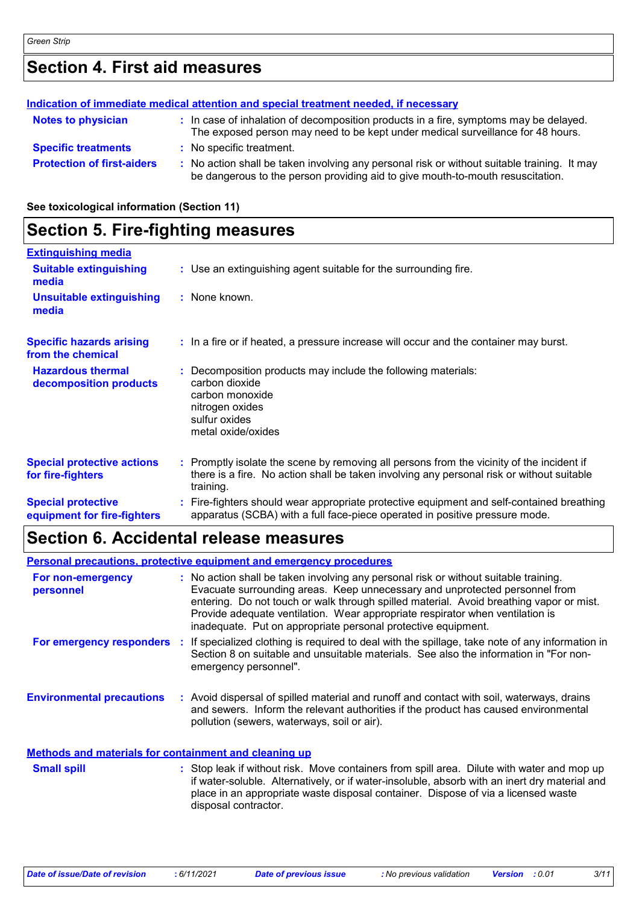# **Section 4. First aid measures**

| Indication of immediate medical attention and special treatment needed, if necessary |  |                                                                                                                                                                               |
|--------------------------------------------------------------------------------------|--|-------------------------------------------------------------------------------------------------------------------------------------------------------------------------------|
| <b>Notes to physician</b>                                                            |  | : In case of inhalation of decomposition products in a fire, symptoms may be delayed.<br>The exposed person may need to be kept under medical surveillance for 48 hours.      |
| <b>Specific treatments</b>                                                           |  | : No specific treatment.                                                                                                                                                      |
| <b>Protection of first-aiders</b>                                                    |  | : No action shall be taken involving any personal risk or without suitable training. It may<br>be dangerous to the person providing aid to give mouth-to-mouth resuscitation. |

**See toxicological information (Section 11)**

### **Section 5. Fire-fighting measures**

| <b>Extinguishing media</b>                               |                                                                                                                                                                                                     |  |
|----------------------------------------------------------|-----------------------------------------------------------------------------------------------------------------------------------------------------------------------------------------------------|--|
| <b>Suitable extinguishing</b><br>media                   | : Use an extinguishing agent suitable for the surrounding fire.                                                                                                                                     |  |
| <b>Unsuitable extinguishing</b><br>media                 | : None known.                                                                                                                                                                                       |  |
| <b>Specific hazards arising</b><br>from the chemical     | : In a fire or if heated, a pressure increase will occur and the container may burst.                                                                                                               |  |
| <b>Hazardous thermal</b><br>decomposition products       | Decomposition products may include the following materials:<br>carbon dioxide<br>carbon monoxide<br>nitrogen oxides<br>sulfur oxides<br>metal oxide/oxides                                          |  |
| <b>Special protective actions</b><br>for fire-fighters   | : Promptly isolate the scene by removing all persons from the vicinity of the incident if<br>there is a fire. No action shall be taken involving any personal risk or without suitable<br>training. |  |
| <b>Special protective</b><br>equipment for fire-fighters | Fire-fighters should wear appropriate protective equipment and self-contained breathing<br>apparatus (SCBA) with a full face-piece operated in positive pressure mode.                              |  |

## **Section 6. Accidental release measures**

|                                                       | <b>Personal precautions, protective equipment and emergency procedures</b>                                                                                                                                                                                                                                                                                                                                       |
|-------------------------------------------------------|------------------------------------------------------------------------------------------------------------------------------------------------------------------------------------------------------------------------------------------------------------------------------------------------------------------------------------------------------------------------------------------------------------------|
| For non-emergency<br>personnel                        | : No action shall be taken involving any personal risk or without suitable training.<br>Evacuate surrounding areas. Keep unnecessary and unprotected personnel from<br>entering. Do not touch or walk through spilled material. Avoid breathing vapor or mist.<br>Provide adequate ventilation. Wear appropriate respirator when ventilation is<br>inadequate. Put on appropriate personal protective equipment. |
|                                                       | For emergency responders : If specialized clothing is required to deal with the spillage, take note of any information in<br>Section 8 on suitable and unsuitable materials. See also the information in "For non-<br>emergency personnel".                                                                                                                                                                      |
| <b>Environmental precautions</b>                      | : Avoid dispersal of spilled material and runoff and contact with soil, waterways, drains<br>and sewers. Inform the relevant authorities if the product has caused environmental<br>pollution (sewers, waterways, soil or air).                                                                                                                                                                                  |
| Methods and materials for containment and cleaning up |                                                                                                                                                                                                                                                                                                                                                                                                                  |

| <b>Small spill</b> | : Stop leak if without risk. Move containers from spill area. Dilute with water and mop up    |
|--------------------|-----------------------------------------------------------------------------------------------|
|                    | if water-soluble. Alternatively, or if water-insoluble, absorb with an inert dry material and |
|                    | place in an appropriate waste disposal container. Dispose of via a licensed waste             |
|                    | disposal contractor.                                                                          |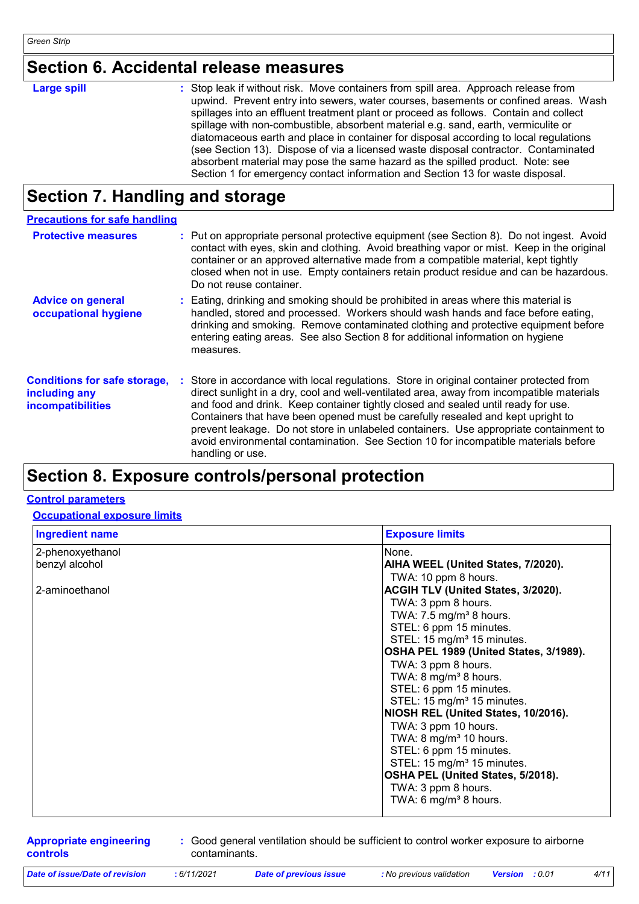# **Section 6. Accidental release measures**

| <b>Large spill</b> | : Stop leak if without risk. Move containers from spill area. Approach release from<br>upwind. Prevent entry into sewers, water courses, basements or confined areas. Wash<br>spillages into an effluent treatment plant or proceed as follows. Contain and collect<br>spillage with non-combustible, absorbent material e.g. sand, earth, vermiculite or<br>diatomaceous earth and place in container for disposal according to local regulations<br>(see Section 13). Dispose of via a licensed waste disposal contractor. Contaminated |
|--------------------|-------------------------------------------------------------------------------------------------------------------------------------------------------------------------------------------------------------------------------------------------------------------------------------------------------------------------------------------------------------------------------------------------------------------------------------------------------------------------------------------------------------------------------------------|
|                    | absorbent material may pose the same hazard as the spilled product. Note: see                                                                                                                                                                                                                                                                                                                                                                                                                                                             |
|                    | Section 1 for emergency contact information and Section 13 for waste disposal.                                                                                                                                                                                                                                                                                                                                                                                                                                                            |

## **Section 7. Handling and storage**

| <b>Precautions for safe handling</b>                                      |                                                                                                                                                                                                                                                                                                                                                                                                                                                                                                                                                                   |
|---------------------------------------------------------------------------|-------------------------------------------------------------------------------------------------------------------------------------------------------------------------------------------------------------------------------------------------------------------------------------------------------------------------------------------------------------------------------------------------------------------------------------------------------------------------------------------------------------------------------------------------------------------|
| <b>Protective measures</b>                                                | : Put on appropriate personal protective equipment (see Section 8). Do not ingest. Avoid<br>contact with eyes, skin and clothing. Avoid breathing vapor or mist. Keep in the original<br>container or an approved alternative made from a compatible material, kept tightly<br>closed when not in use. Empty containers retain product residue and can be hazardous.<br>Do not reuse container.                                                                                                                                                                   |
| <b>Advice on general</b><br>occupational hygiene                          | : Eating, drinking and smoking should be prohibited in areas where this material is<br>handled, stored and processed. Workers should wash hands and face before eating,<br>drinking and smoking. Remove contaminated clothing and protective equipment before<br>entering eating areas. See also Section 8 for additional information on hygiene<br>measures.                                                                                                                                                                                                     |
| <b>Conditions for safe storage,</b><br>including any<br>incompatibilities | : Store in accordance with local regulations. Store in original container protected from<br>direct sunlight in a dry, cool and well-ventilated area, away from incompatible materials<br>and food and drink. Keep container tightly closed and sealed until ready for use.<br>Containers that have been opened must be carefully resealed and kept upright to<br>prevent leakage. Do not store in unlabeled containers. Use appropriate containment to<br>avoid environmental contamination. See Section 10 for incompatible materials before<br>handling or use. |

## **Section 8. Exposure controls/personal protection**

#### **Control parameters**

#### **Occupational exposure limits**

| <b>Ingredient name</b> | <b>Exposure limits</b>                    |
|------------------------|-------------------------------------------|
| 2-phenoxyethanol       | None.                                     |
| benzyl alcohol         | AIHA WEEL (United States, 7/2020).        |
|                        | TWA: 10 ppm 8 hours.                      |
| 2-aminoethanol         | <b>ACGIH TLV (United States, 3/2020).</b> |
|                        | TWA: 3 ppm 8 hours.                       |
|                        | TWA: $7.5 \text{ mg/m}^3$ 8 hours.        |
|                        | STEL: 6 ppm 15 minutes.                   |
|                        | STEL: 15 mg/m <sup>3</sup> 15 minutes.    |
|                        | OSHA PEL 1989 (United States, 3/1989).    |
|                        | TWA: 3 ppm 8 hours.                       |
|                        | TWA: $8 \text{ mg/m}^3$ 8 hours.          |
|                        | STEL: 6 ppm 15 minutes.                   |
|                        | STEL: 15 mg/m <sup>3</sup> 15 minutes.    |
|                        | NIOSH REL (United States, 10/2016).       |
|                        | TWA: 3 ppm 10 hours.                      |
|                        | TWA: 8 mg/m <sup>3</sup> 10 hours.        |
|                        | STEL: 6 ppm 15 minutes.                   |
|                        | STEL: 15 mg/m <sup>3</sup> 15 minutes.    |
|                        | OSHA PEL (United States, 5/2018).         |
|                        | TWA: 3 ppm 8 hours.                       |
|                        | TWA: 6 mg/m <sup>3</sup> 8 hours.         |
|                        |                                           |

**Appropriate engineering controls**

**:** Good general ventilation should be sufficient to control worker exposure to airborne contaminants.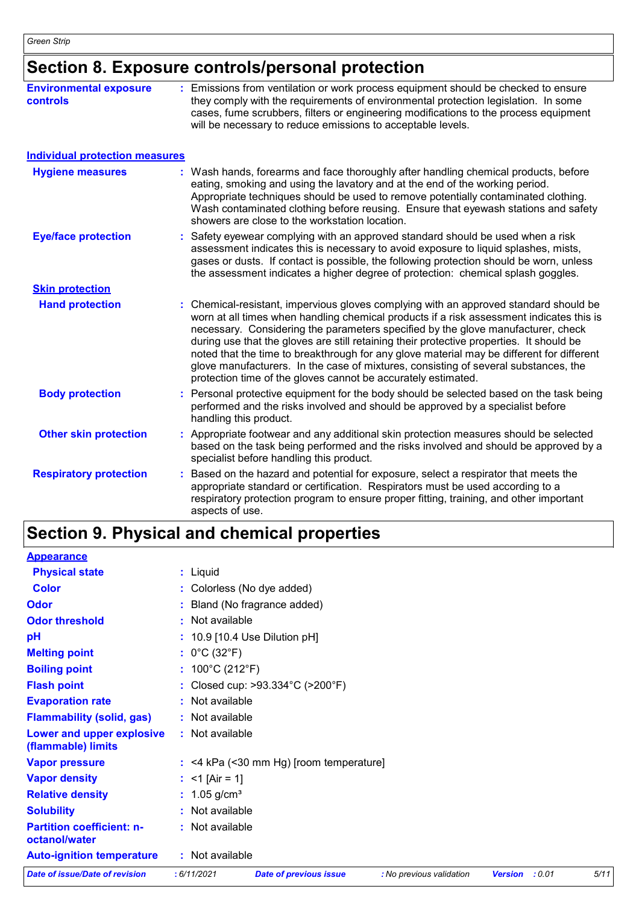# **Section 8. Exposure controls/personal protection**

| <b>Environmental exposure</b><br><b>controls</b> | : Emissions from ventilation or work process equipment should be checked to ensure<br>they comply with the requirements of environmental protection legislation. In some<br>cases, fume scrubbers, filters or engineering modifications to the process equipment<br>will be necessary to reduce emissions to acceptable levels.                                                                                                                                                                                                                                                                                        |
|--------------------------------------------------|------------------------------------------------------------------------------------------------------------------------------------------------------------------------------------------------------------------------------------------------------------------------------------------------------------------------------------------------------------------------------------------------------------------------------------------------------------------------------------------------------------------------------------------------------------------------------------------------------------------------|
| <b>Individual protection measures</b>            |                                                                                                                                                                                                                                                                                                                                                                                                                                                                                                                                                                                                                        |
| <b>Hygiene measures</b>                          | Wash hands, forearms and face thoroughly after handling chemical products, before<br>eating, smoking and using the lavatory and at the end of the working period.<br>Appropriate techniques should be used to remove potentially contaminated clothing.<br>Wash contaminated clothing before reusing. Ensure that eyewash stations and safety<br>showers are close to the workstation location.                                                                                                                                                                                                                        |
| <b>Eye/face protection</b>                       | Safety eyewear complying with an approved standard should be used when a risk<br>assessment indicates this is necessary to avoid exposure to liquid splashes, mists,<br>gases or dusts. If contact is possible, the following protection should be worn, unless<br>the assessment indicates a higher degree of protection: chemical splash goggles.                                                                                                                                                                                                                                                                    |
| <b>Skin protection</b>                           |                                                                                                                                                                                                                                                                                                                                                                                                                                                                                                                                                                                                                        |
| <b>Hand protection</b>                           | : Chemical-resistant, impervious gloves complying with an approved standard should be<br>worn at all times when handling chemical products if a risk assessment indicates this is<br>necessary. Considering the parameters specified by the glove manufacturer, check<br>during use that the gloves are still retaining their protective properties. It should be<br>noted that the time to breakthrough for any glove material may be different for different<br>glove manufacturers. In the case of mixtures, consisting of several substances, the<br>protection time of the gloves cannot be accurately estimated. |
| <b>Body protection</b>                           | Personal protective equipment for the body should be selected based on the task being<br>performed and the risks involved and should be approved by a specialist before<br>handling this product.                                                                                                                                                                                                                                                                                                                                                                                                                      |
| <b>Other skin protection</b>                     | Appropriate footwear and any additional skin protection measures should be selected<br>based on the task being performed and the risks involved and should be approved by a<br>specialist before handling this product.                                                                                                                                                                                                                                                                                                                                                                                                |
| <b>Respiratory protection</b>                    | Based on the hazard and potential for exposure, select a respirator that meets the<br>appropriate standard or certification. Respirators must be used according to a<br>respiratory protection program to ensure proper fitting, training, and other important<br>aspects of use.                                                                                                                                                                                                                                                                                                                                      |

# **Section 9. Physical and chemical properties**

| <b>Date of issue/Date of revision</b>             | :6/11/2021                           | <b>Date of previous issue</b>             | : No previous validation | : 0.01<br><b>Version</b> | 5/11 |
|---------------------------------------------------|--------------------------------------|-------------------------------------------|--------------------------|--------------------------|------|
| <b>Auto-ignition temperature</b>                  | : Not available                      |                                           |                          |                          |      |
| <b>Partition coefficient: n-</b><br>octanol/water | : Not available                      |                                           |                          |                          |      |
| <b>Solubility</b>                                 | : Not available                      |                                           |                          |                          |      |
| <b>Relative density</b>                           | : $1.05$ g/cm <sup>3</sup>           |                                           |                          |                          |      |
| <b>Vapor density</b>                              | : <1 [Air = 1]                       |                                           |                          |                          |      |
| <b>Vapor pressure</b>                             |                                      | $:$ <4 kPa (<30 mm Hg) [room temperature] |                          |                          |      |
| Lower and upper explosive<br>(flammable) limits   | : Not available                      |                                           |                          |                          |      |
| <b>Flammability (solid, gas)</b>                  | : Not available                      |                                           |                          |                          |      |
| <b>Evaporation rate</b>                           | : Not available                      |                                           |                          |                          |      |
| <b>Flash point</b>                                |                                      | : Closed cup: >93.334°C (>200°F)          |                          |                          |      |
| <b>Boiling point</b>                              | : $100^{\circ}$ C (212 $^{\circ}$ F) |                                           |                          |                          |      |
| <b>Melting point</b>                              | : $0^{\circ}$ C (32 $^{\circ}$ F)    |                                           |                          |                          |      |
| pH                                                |                                      | : 10.9 [10.4 Use Dilution pH]             |                          |                          |      |
| <b>Odor threshold</b>                             | : Not available                      |                                           |                          |                          |      |
| Odor                                              |                                      | : Bland (No fragrance added)              |                          |                          |      |
| <b>Color</b>                                      | : Colorless (No dye added)           |                                           |                          |                          |      |
| <b>Physical state</b>                             | : Liquid                             |                                           |                          |                          |      |
| <b>Appearance</b>                                 |                                      |                                           |                          |                          |      |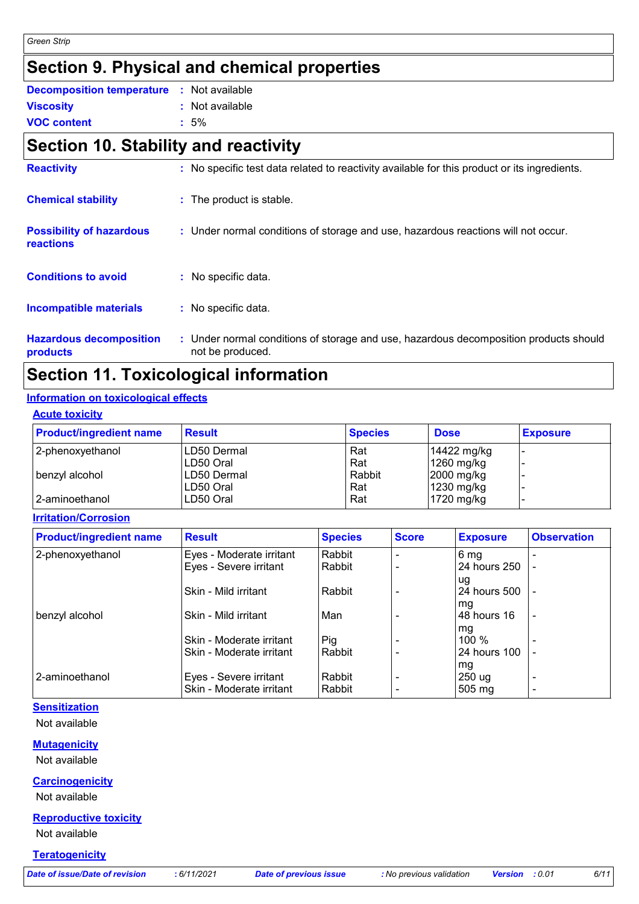## **Section 9. Physical and chemical properties**

| <b>Decomposition temperature :</b> Not available |                 |
|--------------------------------------------------|-----------------|
| <b>Viscosity</b>                                 | : Not available |
| <b>VOC content</b>                               | $:5\%$          |

### **Section 10. Stability and reactivity**

| <b>Reactivity</b>                            | : No specific test data related to reactivity available for this product or its ingredients.              |
|----------------------------------------------|-----------------------------------------------------------------------------------------------------------|
| <b>Chemical stability</b>                    | : The product is stable.                                                                                  |
| <b>Possibility of hazardous</b><br>reactions | : Under normal conditions of storage and use, hazardous reactions will not occur.                         |
| <b>Conditions to avoid</b>                   | : No specific data.                                                                                       |
| <b>Incompatible materials</b>                | : No specific data.                                                                                       |
| <b>Hazardous decomposition</b><br>products   | : Under normal conditions of storage and use, hazardous decomposition products should<br>not be produced. |

## **Section 11. Toxicological information**

#### **Information on toxicological effects**

| <b>Product/ingredient name</b> | <b>Result</b> | <b>Species</b> | <b>Dose</b>        | <b>Exposure</b> |
|--------------------------------|---------------|----------------|--------------------|-----------------|
| 2-phenoxyethanol               | ILD50 Dermal  | Rat            | 14422 mg/kg        |                 |
|                                | LD50 Oral     | Rat            | $1260$ mg/kg       |                 |
| benzyl alcohol                 | ILD50 Dermal  | Rabbit         | $2000$ mg/kg       |                 |
|                                | ILD50 Oral    | Rat            | $\vert$ 1230 mg/kg |                 |
| 2-aminoethanol                 | ILD50 Oral    | Rat            | $1720$ mg/kg       |                 |

**Irritation/Corrosion**

| <b>Product/ingredient name</b> | <b>Result</b>            | <b>Species</b> | <b>Score</b> | <b>Exposure</b>    | <b>Observation</b> |
|--------------------------------|--------------------------|----------------|--------------|--------------------|--------------------|
| 2-phenoxyethanol               | Eyes - Moderate irritant | Rabbit         |              | 6 <sub>mg</sub>    |                    |
|                                | Eyes - Severe irritant   | Rabbit         |              | 24 hours 250       |                    |
|                                | Skin - Mild irritant     | Rabbit         |              | ug<br>24 hours 500 |                    |
| benzyl alcohol                 | Skin - Mild irritant     | Man            |              | mg<br>148 hours 16 | $\blacksquare$     |
|                                | Skin - Moderate irritant | Pig            |              | , mg<br>100 $%$    |                    |
|                                | Skin - Moderate irritant | Rabbit         |              | 24 hours 100<br>mg |                    |
| 2-aminoethanol                 | Eyes - Severe irritant   | Rabbit         |              | 250 ug             | -                  |
|                                | Skin - Moderate irritant | Rabbit         |              | $505 \text{ mg}$   | $\blacksquare$     |

### **Sensitization**

Not available

#### **Mutagenicity**

Not available

#### **Carcinogenicity**

Not available

#### **Reproductive toxicity**

Not available

#### **Teratogenicity**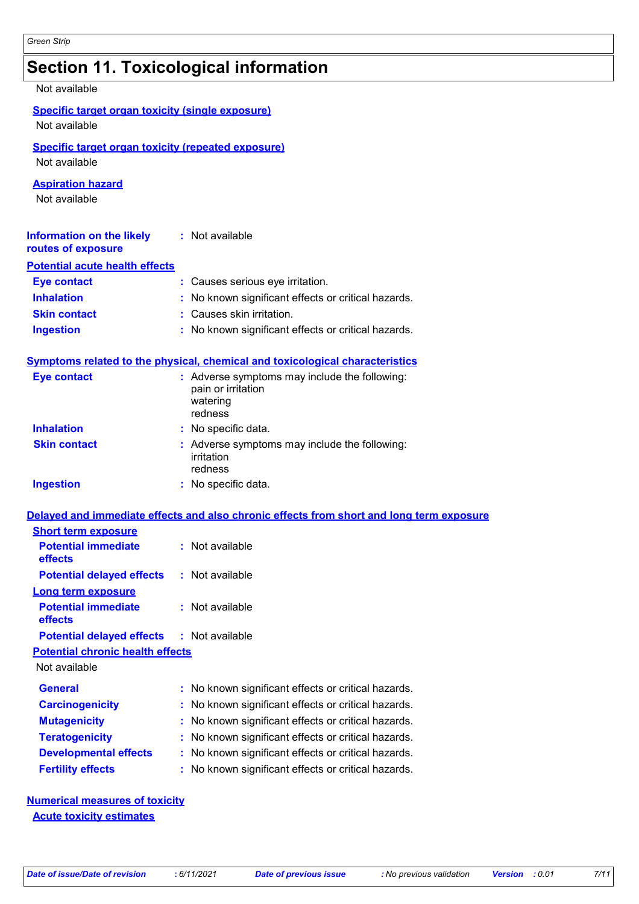# **Section 11. Toxicological information**

#### Not available

| <b>Specific target organ toxicity (single exposure)</b><br>Not available   |                                                                                            |
|----------------------------------------------------------------------------|--------------------------------------------------------------------------------------------|
| <b>Specific target organ toxicity (repeated exposure)</b><br>Not available |                                                                                            |
| <b>Aspiration hazard</b><br>Not available                                  |                                                                                            |
| <b>Information on the likely : Not available</b><br>routes of exposure     |                                                                                            |
| <b>Potential acute health effects</b>                                      |                                                                                            |
| <b>Eye contact</b>                                                         | : Causes serious eye irritation.                                                           |
| <b>Inhalation</b>                                                          | : No known significant effects or critical hazards.                                        |
| <b>Skin contact</b>                                                        | : Causes skin irritation.                                                                  |
| <b>Ingestion</b>                                                           | : No known significant effects or critical hazards.                                        |
|                                                                            | Symptoms related to the physical, chemical and toxicological characteristics               |
| <b>Eye contact</b>                                                         | : Adverse symptoms may include the following:<br>pain or irritation<br>watering<br>redness |
| <b>Inhalation</b>                                                          | : No specific data.                                                                        |
| <b>Skin contact</b>                                                        | : Adverse symptoms may include the following:<br>irritation<br>redness                     |
| <b>Ingestion</b>                                                           | : No specific data.                                                                        |

#### **Delayed and immediate effects and also chronic effects from short and long term exposure**

| <b>Potential immediate</b><br>effects            | : Not available                                     |
|--------------------------------------------------|-----------------------------------------------------|
| <b>Potential delayed effects</b>                 | : Not available                                     |
| Long term exposure                               |                                                     |
| <b>Potential immediate</b><br>effects            | : Not available                                     |
| <b>Potential delayed effects : Not available</b> |                                                     |
| <b>Potential chronic health effects</b>          |                                                     |
| Not available                                    |                                                     |
| <b>General</b>                                   | : No known significant effects or critical hazards. |
| <b>Carcinogenicity</b>                           | : No known significant effects or critical hazards. |
| <b>Mutagenicity</b>                              | : No known significant effects or critical hazards. |
| <b>Teratogenicity</b>                            | : No known significant effects or critical hazards. |
| <b>Developmental effects</b>                     | : No known significant effects or critical hazards. |
| <b>Fertility effects</b>                         | : No known significant effects or critical hazards. |

**Numerical measures of toxicity Acute toxicity estimates**

**Short term exposure**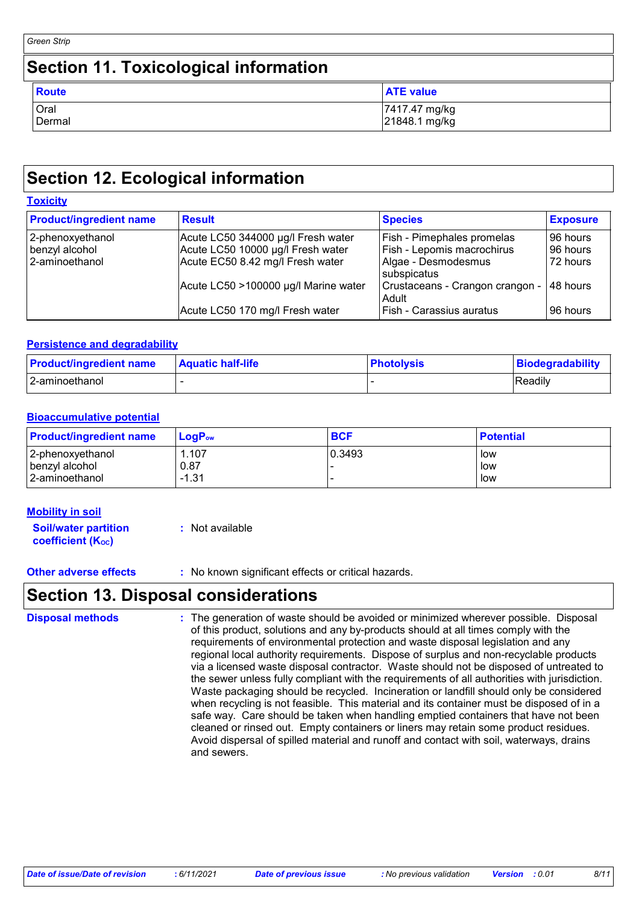| Green Strip                                  |                                |  |
|----------------------------------------------|--------------------------------|--|
| <b>Section 11. Toxicological information</b> |                                |  |
| <b>Route</b>                                 | <b>ATE value</b>               |  |
| Oral<br>Dermal                               | 7417.47 mg/kg<br>21848.1 mg/kg |  |

## **Section 12. Ecological information**

| <b>Toxicity</b> |
|-----------------|
|-----------------|

| <b>Product/ingredient name</b> | <b>Result</b>                        | <b>Species</b>                           | <b>Exposure</b> |
|--------------------------------|--------------------------------------|------------------------------------------|-----------------|
| 2-phenoxyethanol               | Acute LC50 344000 µg/l Fresh water   | Fish - Pimephales promelas               | 96 hours        |
| benzyl alcohol                 | Acute LC50 10000 µg/l Fresh water    | Fish - Lepomis macrochirus               | 96 hours        |
| l 2-aminoethanol               | Acute EC50 8.42 mg/l Fresh water     | Algae - Desmodesmus<br>subspicatus       | 72 hours        |
|                                | Acute LC50 >100000 µg/l Marine water | Crustaceans - Crangon crangon -<br>Adult | 48 hours        |
|                                | Acute LC50 170 mg/l Fresh water      | Fish - Carassius auratus                 | 96 hours        |

#### **Persistence and degradability**

| <b>Product/ingredient name</b> | <b>Aquatic half-life</b> | <b>Photolysis</b> | Biodegradability |
|--------------------------------|--------------------------|-------------------|------------------|
| 2-aminoethanol                 |                          |                   | Readily          |

### **Bioaccumulative potential**

| <b>Product/ingredient name</b> | LogP <sub>ow</sub> | <b>BCF</b> | <b>Potential</b> |
|--------------------------------|--------------------|------------|------------------|
| 2-phenoxyethanol               | .107،              | 0.3493     | low              |
| benzyl alcohol                 | 0.87               |            | low              |
| 2-aminoethanol                 | $-1.31$            |            | low              |

#### **Mobility in soil**

**Soil/water partition coefficient (KOC) :** Not available

**Other adverse effects** : No known significant effects or critical hazards.

### **Section 13. Disposal considerations**

| <b>Disposal methods</b> | : The generation of waste should be avoided or minimized wherever possible. Disposal<br>of this product, solutions and any by-products should at all times comply with the<br>requirements of environmental protection and waste disposal legislation and any<br>regional local authority requirements. Dispose of surplus and non-recyclable products<br>via a licensed waste disposal contractor. Waste should not be disposed of untreated to<br>the sewer unless fully compliant with the requirements of all authorities with jurisdiction.<br>Waste packaging should be recycled. Incineration or landfill should only be considered<br>when recycling is not feasible. This material and its container must be disposed of in a<br>safe way. Care should be taken when handling emptied containers that have not been<br>cleaned or rinsed out. Empty containers or liners may retain some product residues. |
|-------------------------|---------------------------------------------------------------------------------------------------------------------------------------------------------------------------------------------------------------------------------------------------------------------------------------------------------------------------------------------------------------------------------------------------------------------------------------------------------------------------------------------------------------------------------------------------------------------------------------------------------------------------------------------------------------------------------------------------------------------------------------------------------------------------------------------------------------------------------------------------------------------------------------------------------------------|
|                         | Avoid dispersal of spilled material and runoff and contact with soil, waterways, drains<br>and sewers.                                                                                                                                                                                                                                                                                                                                                                                                                                                                                                                                                                                                                                                                                                                                                                                                              |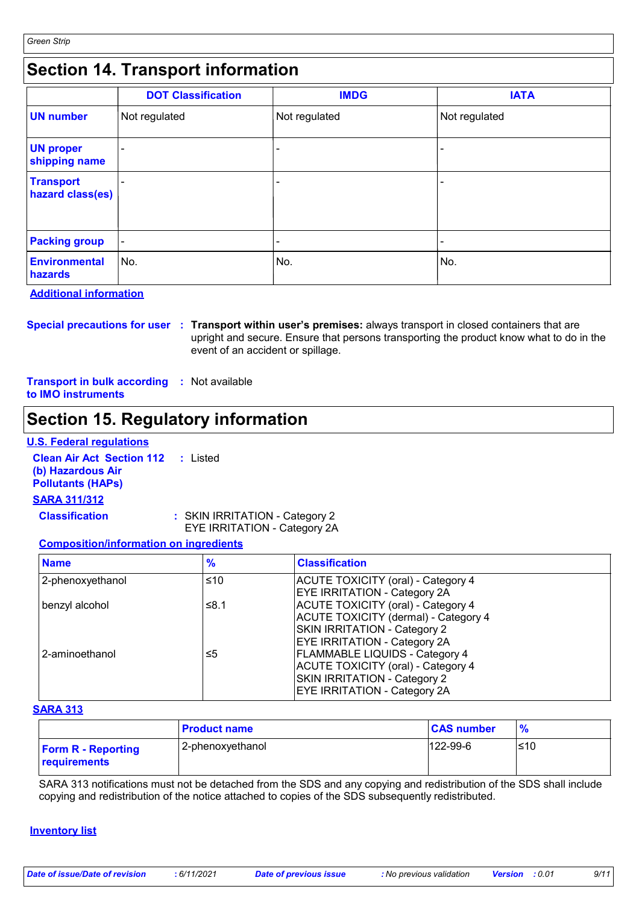# **Section 14. Transport information**

|                                      | <b>DOT Classification</b> | <b>IMDG</b>              | <b>IATA</b>   |
|--------------------------------------|---------------------------|--------------------------|---------------|
| <b>UN number</b>                     | Not regulated             | Not regulated            | Not regulated |
| <b>UN proper</b><br>shipping name    |                           |                          |               |
| <b>Transport</b><br>hazard class(es) |                           | $\overline{\phantom{0}}$ |               |
| <b>Packing group</b>                 | $\overline{\phantom{0}}$  |                          |               |
| Environmental<br>hazards             | ∣No.                      | No.                      | No.           |

**Additional information**

**Special precautions for user Transport within user's premises:** always transport in closed containers that are **:** upright and secure. Ensure that persons transporting the product know what to do in the event of an accident or spillage.

**Transport in bulk according :** Not available **to IMO instruments**

### **Section 15. Regulatory information**

#### **U.S. Federal regulations**

**Clean Air Act Section 112 (b) Hazardous Air Pollutants (HAPs) :** Listed **SARA 311/312**

**Classification :** SKIN IRRITATION - Category 2

EYE IRRITATION - Category 2A

#### **Composition/information on ingredients**

| <b>Name</b>      | $\frac{9}{6}$ | <b>Classification</b>                                                                                                                                     |  |
|------------------|---------------|-----------------------------------------------------------------------------------------------------------------------------------------------------------|--|
| 2-phenoxyethanol | ≤10           | ACUTE TOXICITY (oral) - Category 4<br><b>EYE IRRITATION - Category 2A</b>                                                                                 |  |
| benzyl alcohol   | ≤8.1          | ACUTE TOXICITY (oral) - Category 4<br>ACUTE TOXICITY (dermal) - Category 4<br>SKIN IRRITATION - Category 2<br><b>EYE IRRITATION - Category 2A</b>         |  |
| 2-aminoethanol   | ≤5            | <b>FLAMMABLE LIQUIDS - Category 4</b><br><b>ACUTE TOXICITY (oral) - Category 4</b><br>SKIN IRRITATION - Category 2<br><b>EYE IRRITATION - Category 2A</b> |  |

#### **SARA 313**

|                                                  | <b>Product name</b> | <b>CAS number</b> | $\frac{9}{6}$ |
|--------------------------------------------------|---------------------|-------------------|---------------|
| <b>Form R - Reporting</b><br><b>requirements</b> | 2-phenoxyethanol    | $122 - 99 - 6$    | 510           |

SARA 313 notifications must not be detached from the SDS and any copying and redistribution of the SDS shall include copying and redistribution of the notice attached to copies of the SDS subsequently redistributed.

#### **Inventory list**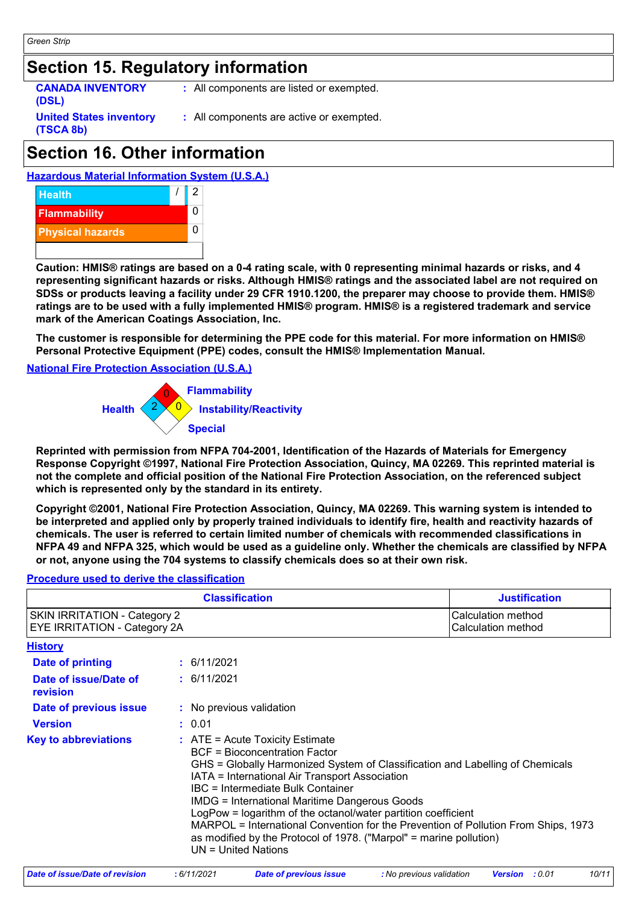**(TSCA 8b)**

### **Section 15. Regulatory information**

**CANADA INVENTORY (DSL) United States inventory**  **:** All components are listed or exempted.

**:** All components are active or exempted.

# **Section 16. Other information**

#### **Hazardous Material Information System (U.S.A.)**



**Caution: HMIS® ratings are based on a 0-4 rating scale, with 0 representing minimal hazards or risks, and 4 representing significant hazards or risks. Although HMIS® ratings and the associated label are not required on SDSs or products leaving a facility under 29 CFR 1910.1200, the preparer may choose to provide them. HMIS® ratings are to be used with a fully implemented HMIS® program. HMIS® is a registered trademark and service mark of the American Coatings Association, Inc.**

**The customer is responsible for determining the PPE code for this material. For more information on HMIS® Personal Protective Equipment (PPE) codes, consult the HMIS® Implementation Manual.**

#### **National Fire Protection Association (U.S.A.)**



**Reprinted with permission from NFPA 704-2001, Identification of the Hazards of Materials for Emergency Response Copyright ©1997, National Fire Protection Association, Quincy, MA 02269. This reprinted material is not the complete and official position of the National Fire Protection Association, on the referenced subject which is represented only by the standard in its entirety.**

**Copyright ©2001, National Fire Protection Association, Quincy, MA 02269. This warning system is intended to be interpreted and applied only by properly trained individuals to identify fire, health and reactivity hazards of chemicals. The user is referred to certain limited number of chemicals with recommended classifications in NFPA 49 and NFPA 325, which would be used as a guideline only. Whether the chemicals are classified by NFPA or not, anyone using the 704 systems to classify chemicals does so at their own risk.**

#### **Procedure used to derive the classification**

| <b>Classification</b>                                               |  |                                                                                                                                                                                                                                                                                                                                                                                                                                                                                                                                                                          | <b>Justification</b>                     |
|---------------------------------------------------------------------|--|--------------------------------------------------------------------------------------------------------------------------------------------------------------------------------------------------------------------------------------------------------------------------------------------------------------------------------------------------------------------------------------------------------------------------------------------------------------------------------------------------------------------------------------------------------------------------|------------------------------------------|
| <b>SKIN IRRITATION - Category 2</b><br>EYE IRRITATION - Category 2A |  |                                                                                                                                                                                                                                                                                                                                                                                                                                                                                                                                                                          | Calculation method<br>Calculation method |
| <b>History</b>                                                      |  |                                                                                                                                                                                                                                                                                                                                                                                                                                                                                                                                                                          |                                          |
| Date of printing                                                    |  | $\div$ 6/11/2021                                                                                                                                                                                                                                                                                                                                                                                                                                                                                                                                                         |                                          |
| Date of issue/Date of<br>revision                                   |  | $\div$ 6/11/2021                                                                                                                                                                                                                                                                                                                                                                                                                                                                                                                                                         |                                          |
| Date of previous issue                                              |  | : No previous validation                                                                                                                                                                                                                                                                                                                                                                                                                                                                                                                                                 |                                          |
| <b>Version</b>                                                      |  | : 0.01                                                                                                                                                                                                                                                                                                                                                                                                                                                                                                                                                                   |                                          |
| <b>Key to abbreviations</b>                                         |  | $\therefore$ ATE = Acute Toxicity Estimate<br><b>BCF</b> = Bioconcentration Factor<br>GHS = Globally Harmonized System of Classification and Labelling of Chemicals<br>IATA = International Air Transport Association<br>IBC = Intermediate Bulk Container<br><b>IMDG = International Maritime Dangerous Goods</b><br>LogPow = logarithm of the octanol/water partition coefficient<br>MARPOL = International Convention for the Prevention of Pollution From Ships, 1973<br>as modified by the Protocol of 1978. ("Marpol" = marine pollution)<br>$UN = United Nations$ |                                          |